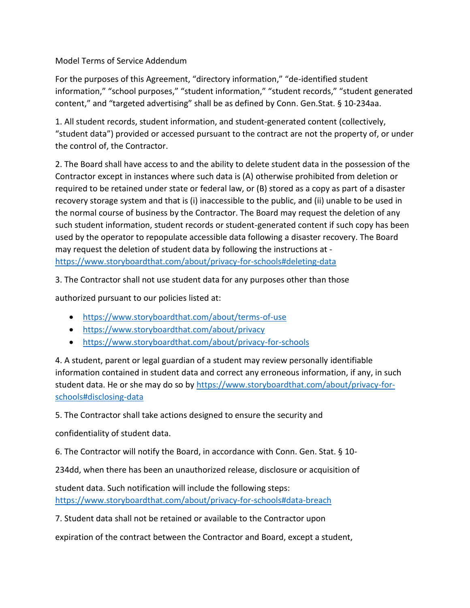Model Terms of Service Addendum

For the purposes of this Agreement, "directory information," "de-identified student information," "school purposes," "student information," "student records," "student generated content," and "targeted advertising" shall be as defined by Conn. Gen.Stat. § 10-234aa.

1. All student records, student information, and student-generated content (collectively, "student data") provided or accessed pursuant to the contract are not the property of, or under the control of, the Contractor.

2. The Board shall have access to and the ability to delete student data in the possession of the Contractor except in instances where such data is (A) otherwise prohibited from deletion or required to be retained under state or federal law, or (B) stored as a copy as part of a disaster recovery storage system and that is (i) inaccessible to the public, and (ii) unable to be used in the normal course of business by the Contractor. The Board may request the deletion of any such student information, student records or student-generated content if such copy has been used by the operator to repopulate accessible data following a disaster recovery. The Board may request the deletion of student data by following the instructions at <https://www.storyboardthat.com/about/privacy-for-schools#deleting-data>

3. The Contractor shall not use student data for any purposes other than those

authorized pursuant to our policies listed at:

- <https://www.storyboardthat.com/about/terms-of-use>
- <https://www.storyboardthat.com/about/privacy>
- <https://www.storyboardthat.com/about/privacy-for-schools>

4. A student, parent or legal guardian of a student may review personally identifiable information contained in student data and correct any erroneous information, if any, in such student data. He or she may do so by [https://www.storyboardthat.com/about/privacy-for](https://www.storyboardthat.com/about/privacy-for-schools#disclosing-data)[schools#disclosing-data](https://www.storyboardthat.com/about/privacy-for-schools#disclosing-data)

5. The Contractor shall take actions designed to ensure the security and

confidentiality of student data.

6. The Contractor will notify the Board, in accordance with Conn. Gen. Stat. § 10-

234dd, when there has been an unauthorized release, disclosure or acquisition of

student data. Such notification will include the following steps: <https://www.storyboardthat.com/about/privacy-for-schools#data-breach>

7. Student data shall not be retained or available to the Contractor upon

expiration of the contract between the Contractor and Board, except a student,